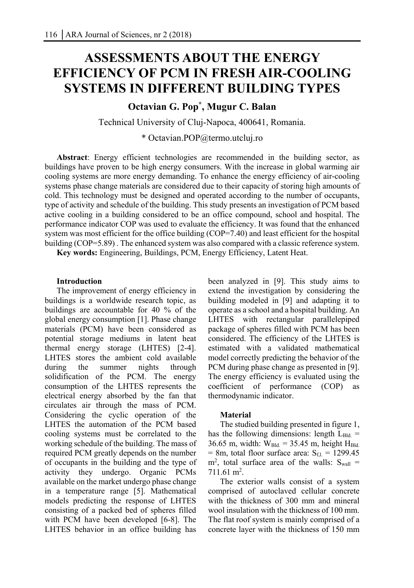# **ASSESSMENTS ABOUT THE ENERGY EFFICIENCY OF PCM IN FRESH AIR-COOLING SYSTEMS IN DIFFERENT BUILDING TYPES**

# **Octavian G. Pop\* , Mugur C. Balan**

Technical University of Cluj-Napoca, 400641, Romania.

\* Octavian.POP@termo.utcluj.ro

**Abstract**: Energy efficient technologies are recommended in the building sector, as buildings have proven to be high energy consumers. With the increase in global warming air cooling systems are more energy demanding. To enhance the energy efficiency of air-cooling systems phase change materials are considered due to their capacity of storing high amounts of cold. This technology must be designed and operated according to the number of occupants, type of activity and schedule of the building. This study presents an investigation of PCM based active cooling in a building considered to be an office compound, school and hospital. The performance indicator COP was used to evaluate the efficiency. It was found that the enhanced system was most efficient for the office building (COP=7.40) and least efficient for the hospital building (COP=5.89) . The enhanced system was also compared with a classic reference system.

**Key words:** Engineering, Buildings, PCM, Energy Efficiency, Latent Heat.

# **Introduction**

The improvement of energy efficiency in buildings is a worldwide research topic, as buildings are accountable for 40 % of the global energy consumption [1]. Phase change materials (PCM) have been considered as potential storage mediums in latent heat thermal energy storage (LHTES) [2-4]. LHTES stores the ambient cold available during the summer nights through solidification of the PCM. The energy consumption of the LHTES represents the electrical energy absorbed by the fan that circulates air through the mass of PCM. Considering the cyclic operation of the LHTES the automation of the PCM based cooling systems must be correlated to the working schedule of the building. The mass of required PCM greatly depends on the number of occupants in the building and the type of activity they undergo. Organic PCMs available on the market undergo phase change in a temperature range [5]. Mathematical models predicting the response of LHTES consisting of a packed bed of spheres filled with PCM have been developed [6-8]. The LHTES behavior in an office building has

been analyzed in [9]. This study aims to extend the investigation by considering the building modeled in [9] and adapting it to operate as a school and a hospital building. An LHTES with rectangular parallelepiped package of spheres filled with PCM has been considered. The efficiency of the LHTES is estimated with a validated mathematical model correctly predicting the behavior of the PCM during phase change as presented in [9]. The energy efficiency is evaluated using the coefficient of performance (COP) as thermodynamic indicator.

# **Material**

The studied building presented in figure 1, has the following dimensions: length  $L_{Bld}$  = 36.65 m, width:  $W_{Bld} = 35.45$  m, height H<sub>Bld.</sub>  $= 8m$ , total floor surface area:  $S_{f,l} = 1299.45$  $m^2$ , total surface area of the walls:  $S_{wall}$  =  $711.61 \text{ m}^2$ .

The exterior walls consist of a system comprised of autoclaved cellular concrete with the thickness of 300 mm and mineral wool insulation with the thickness of 100 mm. The flat roof system is mainly comprised of a concrete layer with the thickness of 150 mm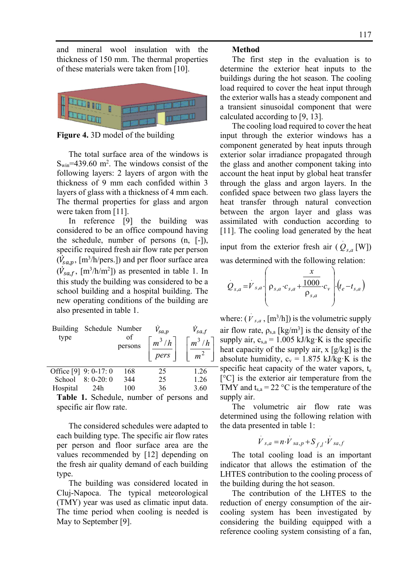and mineral wool insulation with the thickness of 150 mm. The thermal properties of these materials were taken from [10].



**Figure 4.** 3D model of the building

The total surface area of the windows is  $S_{win}$ =439.60 m<sup>2</sup>. The windows consist of the following layers: 2 layers of argon with the thickness of 9 mm each confided within 3 layers of glass with a thickness of 4 mm each. The thermal properties for glass and argon were taken from [11].

In reference [9] the building was considered to be an office compound having the schedule, number of persons (n, [-]), specific required fresh air flow rate per person  $(\dot{V}_{sa,p}, \text{[m}^3/\text{h/pers.}])$  and per floor surface area  $(\dot{V}_{sa,f}, \text{[m}^3/\text{h/m}^2])$  as presented in table 1. In this study the building was considered to be a school building and a hospital building. The new operating conditions of the building are also presented in table 1.

| Building<br>type        | Schedule Number | of<br>persons | $V_{sa,p}$<br>$m^3/h$<br>pers | $V_{sa,f}$<br>$m^3/h$<br>m |
|-------------------------|-----------------|---------------|-------------------------------|----------------------------|
| Office $[9]$ 9: 0-17: 0 |                 | 168           | 25                            | 1.26                       |
| School                  | $8: 0-20: 0$    | 344           | 25                            | 1.26                       |
| Hospital                | 24h             | 100           | 36                            | 3.60                       |

**Table 1.** Schedule, number of persons and specific air flow rate.

The considered schedules were adapted to each building type. The specific air flow rates per person and floor surface area are the values recommended by [12] depending on the fresh air quality demand of each building type.

The building was considered located in Cluj-Napoca. The typical meteorological (TMY) year was used as climatic input data. The time period when cooling is needed is May to September [9].

# **Method**

The first step in the evaluation is to determine the exterior heat inputs to the buildings during the hot season. The cooling load required to cover the heat input through the exterior walls has a steady component and a transient sinusoidal component that were calculated according to [9, 13].

The cooling load required to cover the heat input through the exterior windows has a component generated by heat inputs through exterior solar irradiance propagated through the glass and another component taking into account the heat input by global heat transfer through the glass and argon layers. In the confided space between two glass layers the heat transfer through natural convection between the argon layer and glass was assimilated with conduction according to [11]. The cooling load generated by the heat

input from the exterior fresh air  $(Q_{s,a}$ <sup>[W]</sup>) was determined with the following relation:

.

$$
Q_{s,a} = V_{s,a} \cdot \left( \rho_{s,a} \cdot c_{s,a} + \frac{\frac{x}{1000}}{\rho_{s,a}} \cdot c_v \right) \cdot (t_e - t_{s,a})
$$

where:  $(\dot{V}_{s,a}, [m^3/h])$  is the volumetric supply air flow rate,  $\rho_{s,a}$  [kg/m<sup>3</sup>] is the density of the supply air,  $c_{s,a} = 1.005 \text{ kJ/kg} \cdot \text{K}$  is the specific heat capacity of the supply air, x [g/kg] is the absolute humidity,  $c_v = 1.875$  kJ/kg·K is the specific heat capacity of the water vapors,  $t_e$ [°C] is the exterior air temperature from the TMY and  $t_{s,a} = 22 \degree C$  is the temperature of the supply air.

The volumetric air flow rate was determined using the following relation with the data presented in table 1:

$$
\dot{V}_{s,a} = n \cdot \dot{V}_{sa,p} + S_{f,l} \cdot \dot{V}_{sa,f}
$$

The total cooling load is an important indicator that allows the estimation of the LHTES contribution to the cooling process of the building during the hot season.

The contribution of the LHTES to the reduction of energy consumption of the aircooling system has been investigated by considering the building equipped with a reference cooling system consisting of a fan,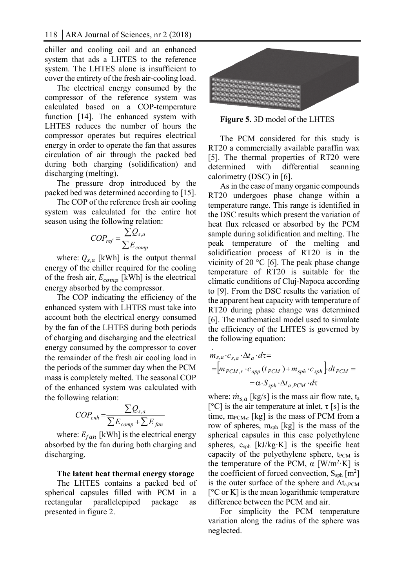chiller and cooling coil and an enhanced system that ads a LHTES to the reference system. The LHTES alone is insufficient to cover the entirety of the fresh air-cooling load.

The electrical energy consumed by the compressor of the reference system was calculated based on a COP-temperature function [14]. The enhanced system with LHTES reduces the number of hours the compressor operates but requires electrical energy in order to operate the fan that assures circulation of air through the packed bed during both charging (solidification) and discharging (melting).

The pressure drop introduced by the packed bed was determined according to [15].

The COP of the reference fresh air cooling system was calculated for the entire hot season using the following relation:

$$
COP_{ref} = \frac{\sum Q_{s,a}}{\sum E_{comp}}
$$

where:  $Q_{s,a}$  [kWh] is the output thermal energy of the chiller required for the cooling of the fresh air,  $E_{comp}$  [kWh] is the electrical energy absorbed by the compressor.

The COP indicating the efficiency of the enhanced system with LHTES must take into account both the electrical energy consumed by the fan of the LHTES during both periods of charging and discharging and the electrical energy consumed by the compressor to cover the remainder of the fresh air cooling load in the periods of the summer day when the PCM mass is completely melted. The seasonal COP of the enhanced system was calculated with the following relation:

$$
COP_{enh} = \frac{\sum Q_{s,a}}{\sum E_{comp} + \sum E_{fan}}
$$

where:  $E_{fan}$  [kWh] is the electrical energy absorbed by the fan during both charging and discharging.

#### **The latent heat thermal energy storage**

The LHTES contains a packed bed of spherical capsules filled with PCM in a rectangular parallelepiped package as presented in figure 2.



**Figure 5.** 3D model of the LHTES

The PCM considered for this study is RT20 a commercially available paraffin wax [5]. The thermal properties of RT20 were determined with differential scanning calorimetry (DSC) in [6].

As in the case of many organic compounds RT20 undergoes phase change within a temperature range. This range is identified in the DSC results which present the variation of heat flux released or absorbed by the PCM sample during solidification and melting. The peak temperature of the melting and solidification process of RT20 is in the vicinity of 20  $\degree$ C [6]. The peak phase change temperature of RT20 is suitable for the climatic conditions of Cluj-Napoca according to [9]. From the DSC results the variation of the apparent heat capacity with temperature of RT20 during phase change was determined [6]. The mathematical model used to simulate the efficiency of the LHTES is governed by the following equation:

$$
m_{s,a} \cdot c_{s,a} \cdot \Delta t_a \cdot d\tau =
$$
  
=  $\left[m_{PCM,r} \cdot c_{app}(t_{PCM}) + m_{sph} \cdot c_{sph}\right] \cdot dt_{PCM} =$   
=  $\alpha \cdot S_{sph} \cdot \Delta t_{a,PCM} \cdot d\tau$ 

where:  $\dot{m}_{s,a}$  [kg/s] is the mass air flow rate, t<sub>a</sub> [ $^{\circ}$ C] is the air temperature at inlet,  $\tau$  [s] is the time,  $m_{\text{PCM},r}$  [kg] is the mass of PCM from a row of spheres,  $m<sub>sph</sub>$  [kg] is the mass of the spherical capsules in this case polyethylene spheres,  $c_{sph}$  [kJ/kg·K] is the specific heat capacity of the polyethylene sphere,  $t_{\text{PCM}}$  is the temperature of the PCM,  $\alpha$  [W/m<sup>2</sup>·K] is the coefficient of forced convection,  $S_{sph}$  [m<sup>2</sup>] is the outer surface of the sphere and  $\Delta t_{a,PCM}$  $[°C$  or K] is the mean logarithmic temperature difference between the PCM and air.

For simplicity the PCM temperature variation along the radius of the sphere was neglected.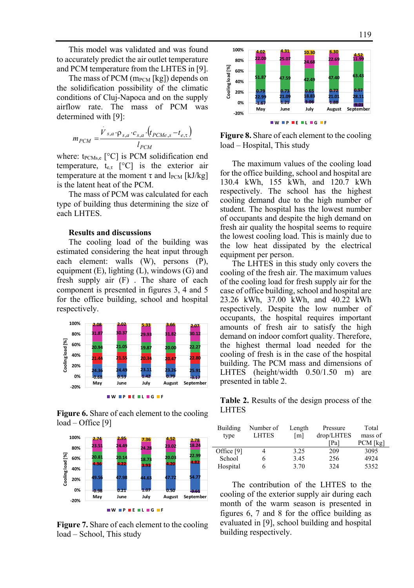This model was validated and was found to accurately predict the air outlet temperature and PCM temperature from the LHTES in [9].

The mass of PCM  $(m_{PCM}$  [kg]) depends on the solidification possibility of the climatic conditions of Cluj-Napoca and on the supply airflow rate. The mass of PCM was determined with [9]:

$$
m_{PCM} = \frac{\dot{V}_{s,a} \cdot \rho_{s,a} \cdot c_{s,a} \cdot (t_{PCMe,s} - t_{e,\tau})}{l_{PCM}}
$$

where:  $t_{PCMs,e}$  [°C] is PCM solidification end temperature,  $t_{\text{er}}$  [°C] is the exterior air temperature at the moment  $\tau$  and  $l_{\text{PCM}}$  [kJ/kg] is the latent heat of the PCM.

The mass of PCM was calculated for each type of building thus determining the size of each LHTES.

### **Results and discussions**

The cooling load of the building was estimated considering the heat input through each element: walls (W), persons (P), equipment (E), lighting (L), windows (G) and fresh supply air (F) . The share of each component is presented in figures 3, 4 and 5 for the office building, school and hospital respectively.



**Figure 6.** Share of each element to the cooling load – Office [9]



**Figure 7.** Share of each element to the cooling load – School, This study



**Figure 8.** Share of each element to the cooling load – Hospital, This study

The maximum values of the cooling load for the office building, school and hospital are 130.4 kWh, 155 kWh, and 120.7 kWh respectively. The school has the highest cooling demand due to the high number of student. The hospital has the lowest number of occupants and despite the high demand on fresh air quality the hospital seems to require the lowest cooling load. This is mainly due to the low heat dissipated by the electrical equipment per person.

The LHTES in this study only covers the cooling of the fresh air. The maximum values of the cooling load for fresh supply air for the case of office building, school and hospital are 23.26 kWh, 37.00 kWh, and 40.22 kWh respectively. Despite the low number of occupants, the hospital requires important amounts of fresh air to satisfy the high demand on indoor comfort quality. Therefore, the highest thermal load needed for the cooling of fresh is in the case of the hospital building. The PCM mass and dimensions of LHTES (height/width 0.50/1.50 m) are presented in table 2.

**Table 2.** Results of the design process of the LHTES

| Building   | Number of    | Length            | Pressure   | Total      |
|------------|--------------|-------------------|------------|------------|
| type       | <b>LHTES</b> | $\lceil m \rceil$ | drop/LHTES | mass of    |
|            |              |                   | [Pa]       | $PCM$ [kg] |
| Office [9] |              | 3.25              | 209        | 3095       |
| School     |              | 3.45              | 256        | 4924       |
| Hospital   |              | 3.70              | 324        | 5352       |

The contribution of the LHTES to the cooling of the exterior supply air during each month of the warm season is presented in figures 6, 7 and 8 for the office building as evaluated in [9], school building and hospital building respectively.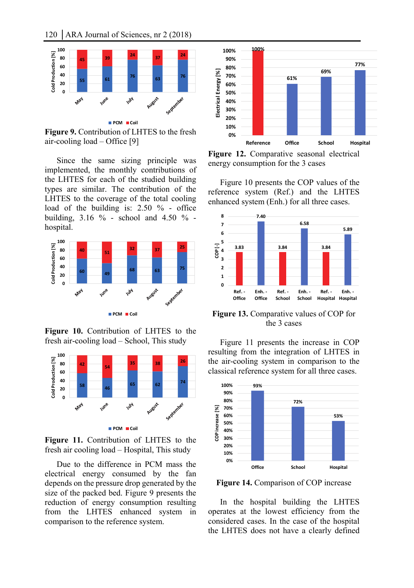

**Figure 9.** Contribution of LHTES to the fresh air-cooling load – Office [9]

Since the same sizing principle was implemented, the monthly contributions of the LHTES for each of the studied building types are similar. The contribution of the LHTES to the coverage of the total cooling load of the building is: 2.50 % - office building,  $3.16 \%$  - school and  $4.50 \%$  hospital.



**Figure 10.** Contribution of LHTES to the fresh air-cooling load – School, This study



**Figure 11.** Contribution of LHTES to the fresh air cooling load – Hospital, This study

Due to the difference in PCM mass the electrical energy consumed by the fan depends on the pressure drop generated by the size of the packed bed. Figure 9 presents the reduction of energy consumption resulting from the LHTES enhanced system in comparison to the reference system.



**Figure 12.** Comparative seasonal electrical energy consumption for the 3 cases

Figure 10 presents the COP values of the reference system (Ref.) and the LHTES enhanced system (Enh.) for all three cases.



**Figure 13.** Comparative values of COP for the 3 cases

Figure 11 presents the increase in COP resulting from the integration of LHTES in the air-cooling system in comparison to the classical reference system for all three cases.



**Figure 14.** Comparison of COP increase

In the hospital building the LHTES operates at the lowest efficiency from the considered cases. In the case of the hospital the LHTES does not have a clearly defined